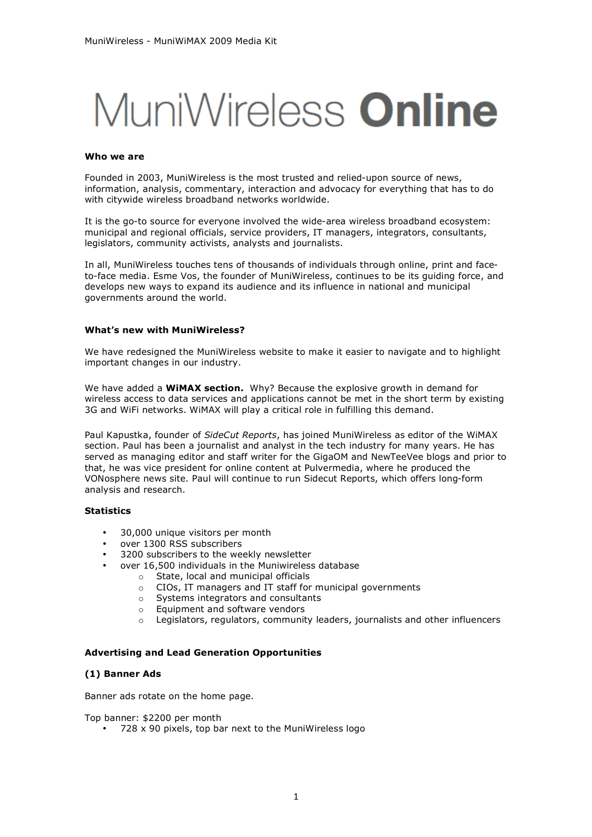# MuniWireless **Online**

#### **Who we are**

Founded in 2003, MuniWireless is the most trusted and relied-upon source of news, information, analysis, commentary, interaction and advocacy for everything that has to do with citywide wireless broadband networks worldwide.

It is the go-to source for everyone involved the wide-area wireless broadband ecosystem: municipal and regional officials, service providers, IT managers, integrators, consultants, legislators, community activists, analysts and journalists.

In all, MuniWireless touches tens of thousands of individuals through online, print and faceto-face media. Esme Vos, the founder of MuniWireless, continues to be its guiding force, and develops new ways to expand its audience and its influence in national and municipal governments around the world.

## **What's new with MuniWireless?**

We have redesigned the MuniWireless website to make it easier to navigate and to highlight important changes in our industry.

We have added a **WiMAX section.** Why? Because the explosive growth in demand for wireless access to data services and applications cannot be met in the short term by existing 3G and WiFi networks. WiMAX will play a critical role in fulfilling this demand.

Paul Kapustka, founder of *SideCut Reports*, has joined MuniWireless as editor of the WiMAX section. Paul has been a journalist and analyst in the tech industry for many years. He has served as managing editor and staff writer for the GigaOM and NewTeeVee blogs and prior to that, he was vice president for online content at Pulvermedia, where he produced the VONosphere news site. Paul will continue to run Sidecut Reports, which offers long-form analysis and research.

# **Statistics**

- 30,000 unique visitors per month
- over 1300 RSS subscribers
- 3200 subscribers to the weekly newsletter
- over 16,500 individuals in the Muniwireless database
	- o State, local and municipal officials
	- o CIOs, IT managers and IT staff for municipal governments
	- o Systems integrators and consultants
	- o Equipment and software vendors
	- o Legislators, regulators, community leaders, journalists and other influencers

#### **Advertising and Lead Generation Opportunities**

#### **(1) Banner Ads**

Banner ads rotate on the home page.

Top banner: \$2200 per month

• 728 x 90 pixels, top bar next to the MuniWireless logo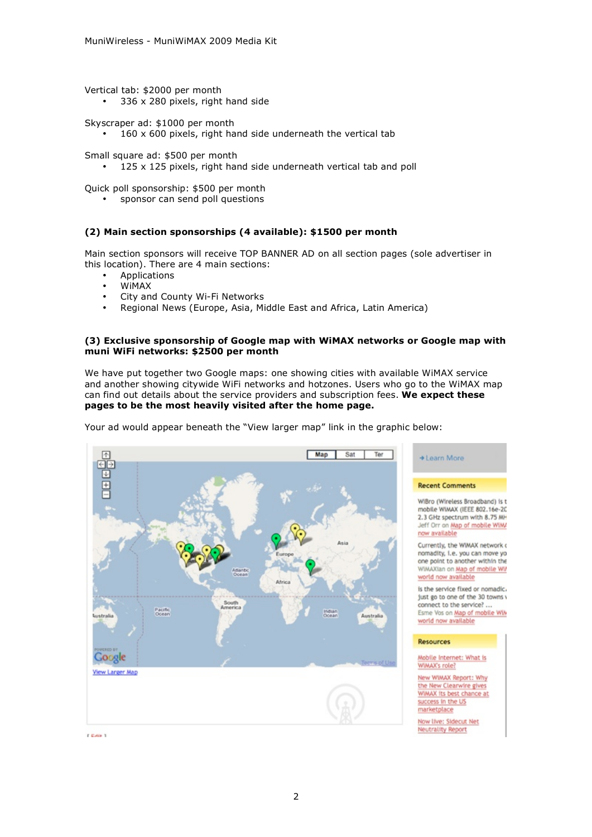Vertical tab: \$2000 per month 336 x 280 pixels, right hand side

Skyscraper ad: \$1000 per month

• 160 x 600 pixels, right hand side underneath the vertical tab

Small square ad: \$500 per month

• 125 x 125 pixels, right hand side underneath vertical tab and poll

Quick poll sponsorship: \$500 per month

• sponsor can send poll questions

# **(2) Main section sponsorships (4 available): \$1500 per month**

Main section sponsors will receive TOP BANNER AD on all section pages (sole advertiser in this location). There are 4 main sections:

- Applications
- WiMAX
- City and County Wi-Fi Networks
- Regional News (Europe, Asia, Middle East and Africa, Latin America)

## **(3) Exclusive sponsorship of Google map with WiMAX networks or Google map with muni WiFi networks: \$2500 per month**

We have put together two Google maps: one showing cities with available WiMAX service and another showing citywide WiFi networks and hotzones. Users who go to the WiMAX map can find out details about the service providers and subscription fees. **We expect these pages to be the most heavily visited after the home page.**



Your ad would appear beneath the "View larger map" link in the graphic below:

+ Learn More

**Recent Comments** 

WiBro (Wireless Broadband) is t mobile WiMAX (IEEE 802.16e-20 2.3 GHz spectrum with 8.75 MH Jeff Orr on Map of mobile WiM/ now available

Currently, the WiMAX network o nomadity, i.e. you can move yo<br>one point to another within the WiMAXian on Map of mobile Wi world now available

is the service fixed or nomadic. just go to one of the 30 towns connect to the service? ... Esme Vos on Map of mobile Wil world now available

#### **Resources**

Mobile Internet: What is WiMAX's role?

New WiMAX Report: Why the New Clearwire gives WIMAX its best chance at success in the US marketplace

Now live: Sidecut Net Neutrality Report

**CEAN 1**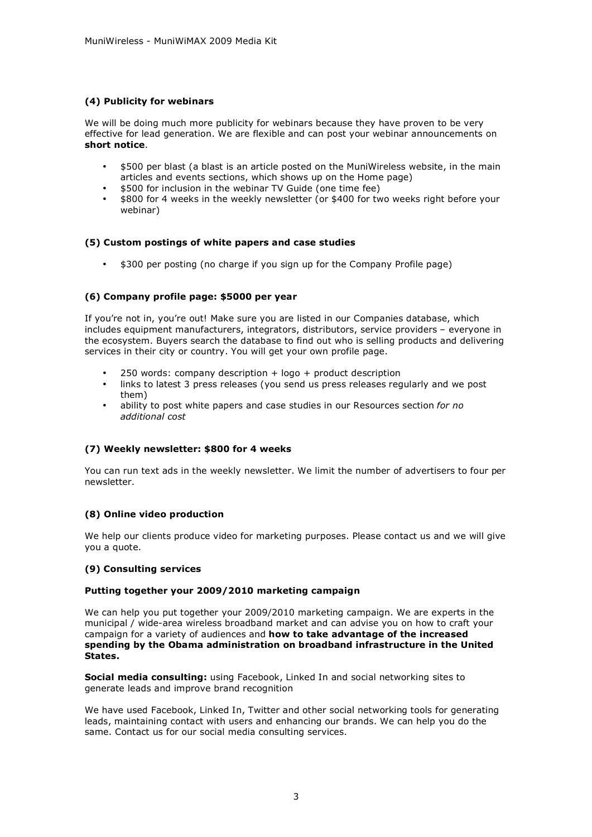# **(4) Publicity for webinars**

We will be doing much more publicity for webinars because they have proven to be very effective for lead generation. We are flexible and can post your webinar announcements on **short notice**.

- \$500 per blast (a blast is an article posted on the MuniWireless website, in the main articles and events sections, which shows up on the Home page)
- \$500 for inclusion in the webinar TV Guide (one time fee)
- \$800 for 4 weeks in the weekly newsletter (or \$400 for two weeks right before your webinar)

# **(5) Custom postings of white papers and case studies**

• \$300 per posting (no charge if you sign up for the Company Profile page)

# **(6) Company profile page: \$5000 per year**

If you're not in, you're out! Make sure you are listed in our Companies database, which includes equipment manufacturers, integrators, distributors, service providers – everyone in the ecosystem. Buyers search the database to find out who is selling products and delivering services in their city or country. You will get your own profile page.

- 250 words: company description  $+$  logo  $+$  product description
- links to latest 3 press releases (you send us press releases regularly and we post them)
- ability to post white papers and case studies in our Resources section *for no additional cost*

#### **(7) Weekly newsletter: \$800 for 4 weeks**

You can run text ads in the weekly newsletter. We limit the number of advertisers to four per newsletter.

# **(8) Online video production**

We help our clients produce video for marketing purposes. Please contact us and we will give you a quote.

#### **(9) Consulting services**

#### **Putting together your 2009/2010 marketing campaign**

We can help you put together your 2009/2010 marketing campaign. We are experts in the municipal / wide-area wireless broadband market and can advise you on how to craft your campaign for a variety of audiences and **how to take advantage of the increased spending by the Obama administration on broadband infrastructure in the United States.**

**Social media consulting:** using Facebook, Linked In and social networking sites to generate leads and improve brand recognition

We have used Facebook, Linked In, Twitter and other social networking tools for generating leads, maintaining contact with users and enhancing our brands. We can help you do the same. Contact us for our social media consulting services.